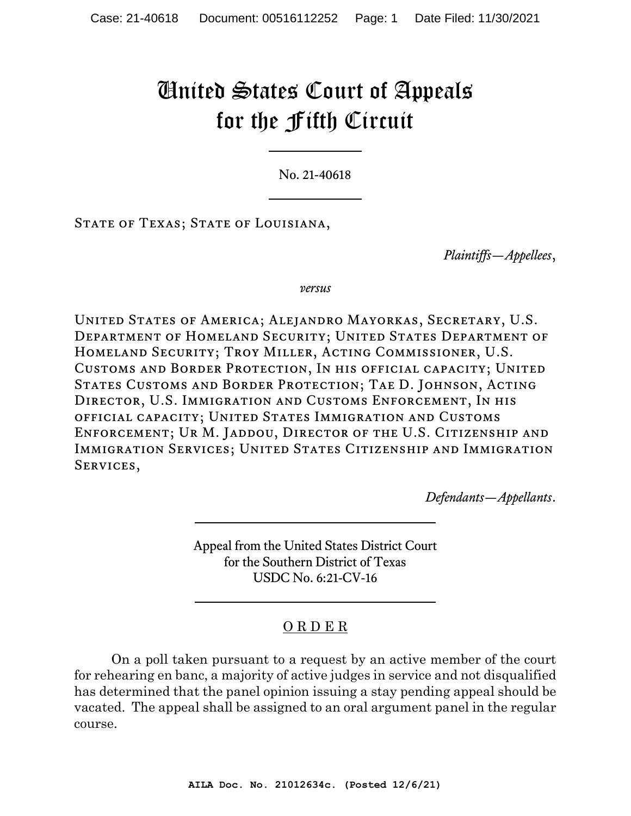## United States Court of Appeals for the Fifth Circuit

No. 21-40618

STATE OF TEXAS; STATE OF LOUISIANA,

*Plaintiffs—Appellees*,

*versus*

United States of America; Alejandro Mayorkas, Secretary, U.S. Department of Homeland Security; United States Department of Homeland Security; Troy Miller, Acting Commissioner, U.S. Customs and Border Protection, In his official capacity; United States Customs and Border Protection; Tae D. Johnson, Acting Director, U.S. Immigration and Customs Enforcement, In his official capacity; United States Immigration and Customs Enforcement; Ur M. Jaddou, Director of the U.S. Citizenship and IMMIGRATION SERVICES; UNITED STATES CITIZENSHIP AND IMMIGRATION SERVICES,

*Defendants—Appellants*.

Appeal from the United States District Court for the Southern District of Texas USDC No. 6:21-CV-16

## O R D E R

On a poll taken pursuant to a request by an active member of the court for rehearing en banc, a majority of active judges in service and not disqualified has determined that the panel opinion issuing a stay pending appeal should be vacated. The appeal shall be assigned to an oral argument panel in the regular course.